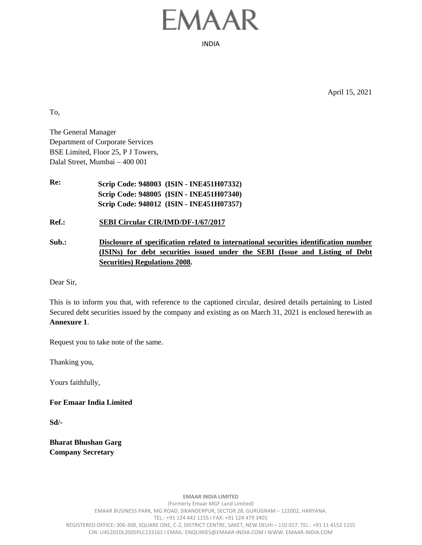## FMAAR

INDIA

April 15, 2021

To,

The General Manager Department of Corporate Services BSE Limited, Floor 25, P J Towers, Dalal Street, Mumbai – 400 001

**Re: Scrip Code: 948003 (ISIN - INE451H07332) Scrip Code: 948005 (ISIN - INE451H07340) Scrip Code: 948012 (ISIN - INE451H07357)**

**Ref.: SEBI Circular CIR/IMD/DF-1/67/2017**

**Sub.: Disclosure of specification related to international securities identification number (ISINs) for debt securities issued under the SEBI (Issue and Listing of Debt Securities) Regulations 2008.**

Dear Sir,

This is to inform you that, with reference to the captioned circular, desired details pertaining to Listed Secured debt securities issued by the company and existing as on March 31, 2021 is enclosed herewith as **Annexure 1**.

Request you to take note of the same.

Thanking you,

Yours faithfully,

**For Emaar India Limited**

**Sd/-**

**Bharat Bhushan Garg Company Secretary**

> **EMAAR INDIA LIMITED** (Formerly Emaar MGF Land Limited) EMAAR BUSINESS PARK, MG ROAD, SIKANDERPUR, SECTOR 28, GURUGRAM – 122002, HARYANA. TEL.: +91 124 442 1155 I FAX: +91 124 479 3401 REGISTERED OFFICE**:** 306-308, SQUARE ONE, C-2, DISTRICT CENTRE, SAKET, NEW DELHI – 110 017. TEL.: +91 11 4152 1155 CIN: U45201DL2005PLC133161 I EMAIL: ENQUIRIES@EMAAR-INDIA.COM I WWW. EMAAR-INDIA.COM